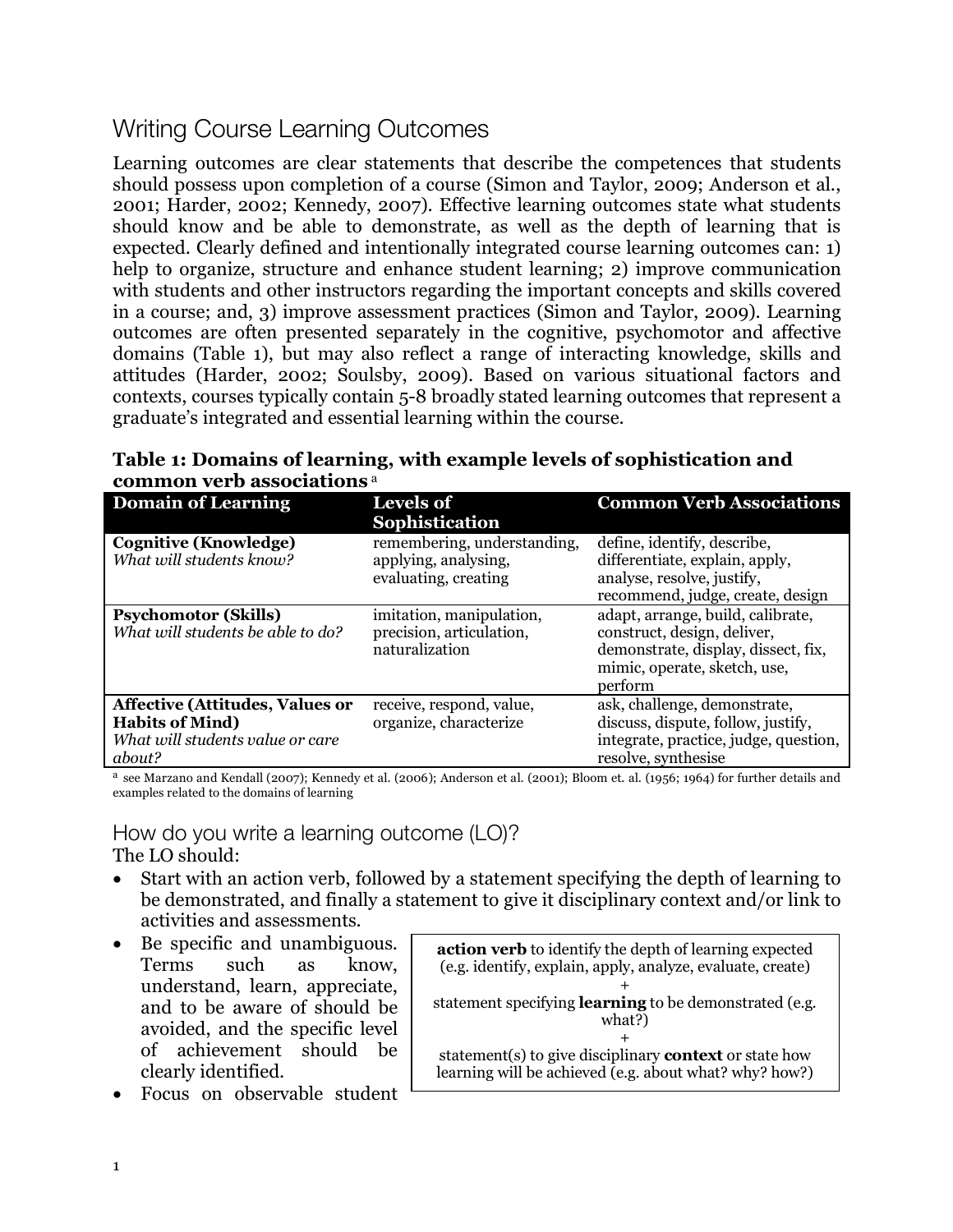## Writing Course Learning Outcomes

Learning outcomes are clear statements that describe the competences that students should possess upon completion of a course (Simon and Taylor, 2009; Anderson et al., 2001; Harder, 2002; Kennedy, 2007). Effective learning outcomes state what students should know and be able to demonstrate, as well as the depth of learning that is expected. Clearly defined and intentionally integrated course learning outcomes can: 1) help to organize, structure and enhance student learning; 2) improve communication with students and other instructors regarding the important concepts and skills covered in a course; and, 3) improve assessment practices (Simon and Taylor, 2009). Learning outcomes are often presented separately in the cognitive, psychomotor and affective domains (Table 1), but may also reflect a range of interacting knowledge, skills and attitudes (Harder, 2002; Soulsby, 2009). Based on various situational factors and contexts, courses typically contain 5-8 broadly stated learning outcomes that represent a graduate's integrated and essential learning within the course.

**Table 1: Domains of learning, with example levels of sophistication and common verb associations** <sup>a</sup>

| <b>Domain of Learning</b>                                                                                      | <b>Levels of</b><br>Sophistication                                          | <b>Common Verb Associations</b>                                                                                                                    |
|----------------------------------------------------------------------------------------------------------------|-----------------------------------------------------------------------------|----------------------------------------------------------------------------------------------------------------------------------------------------|
| <b>Cognitive (Knowledge)</b><br>What will students know?                                                       | remembering, understanding,<br>applying, analysing,<br>evaluating, creating | define, identify, describe,<br>differentiate, explain, apply,<br>analyse, resolve, justify,<br>recommend, judge, create, design                    |
| <b>Psychomotor (Skills)</b><br>What will students be able to do?                                               | imitation, manipulation,<br>precision, articulation,<br>naturalization      | adapt, arrange, build, calibrate,<br>construct, design, deliver,<br>demonstrate, display, dissect, fix,<br>mimic, operate, sketch, use,<br>perform |
| <b>Affective (Attitudes, Values or</b><br><b>Habits of Mind)</b><br>What will students value or care<br>about? | receive, respond, value,<br>organize, characterize                          | ask, challenge, demonstrate,<br>discuss, dispute, follow, justify,<br>integrate, practice, judge, question,<br>resolve, synthesise                 |

a see Marzano and Kendall (2007); Kennedy et al. (2006); Anderson et al. (2001); Bloom et. al. (1956; 1964) for further details and examples related to the domains of learning

How do you write a learning outcome (LO)? The LO should:

- Start with an action verb, followed by a statement specifying the depth of learning to be demonstrated, and finally a statement to give it disciplinary context and/or link to activities and assessments.
- Be specific and unambiguous. Terms such as know, understand, learn, appreciate, and to be aware of should be avoided, and the specific level of achievement should be clearly identified.
- Focus on observable student

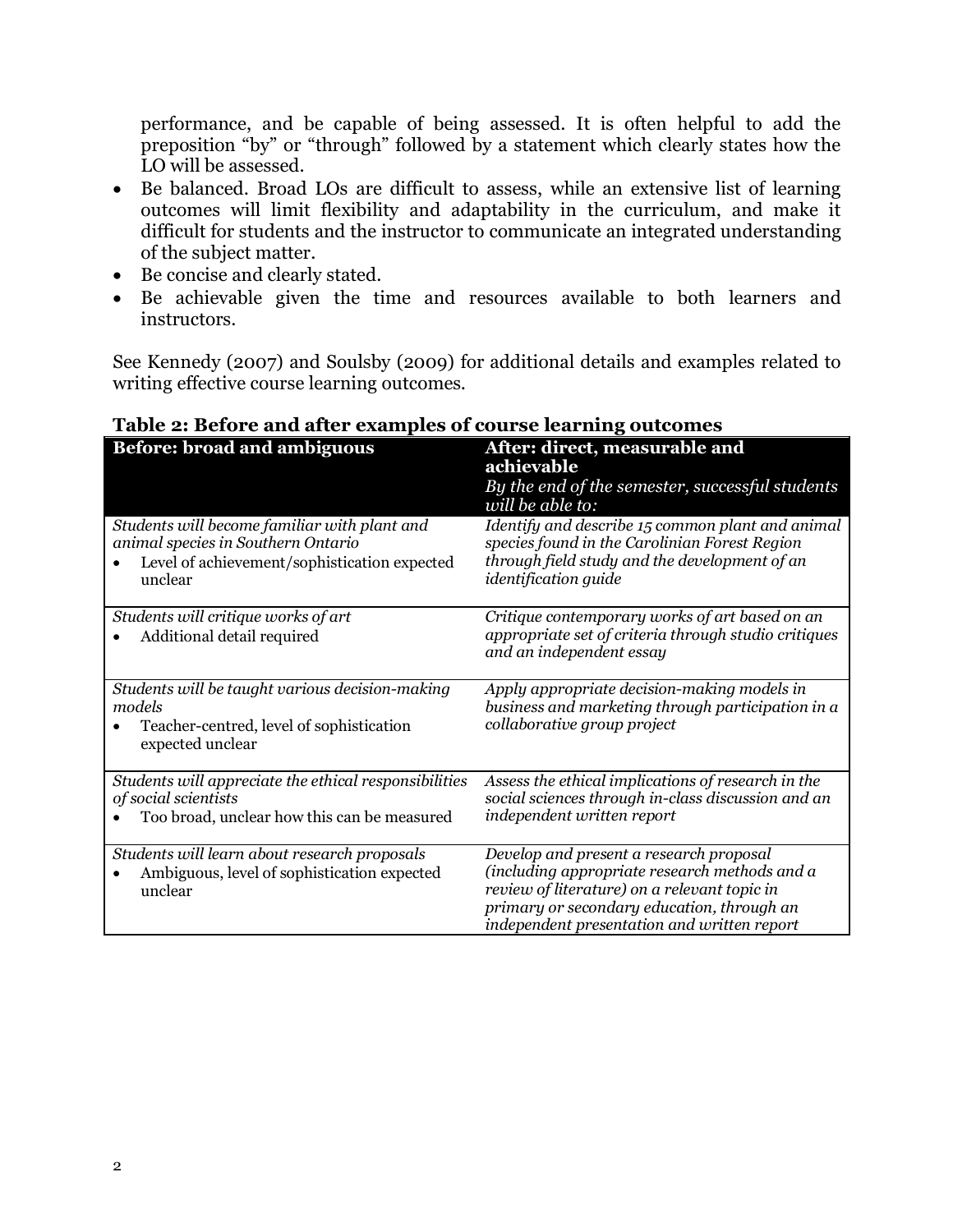performance, and be capable of being assessed. It is often helpful to add the preposition "by" or "through" followed by a statement which clearly states how the LO will be assessed.

- Be balanced. Broad LOs are difficult to assess, while an extensive list of learning outcomes will limit flexibility and adaptability in the curriculum, and make it difficult for students and the instructor to communicate an integrated understanding of the subject matter.
- Be concise and clearly stated.
- Be achievable given the time and resources available to both learners and instructors.

See Kennedy (2007) and Soulsby (2009) for additional details and examples related to writing effective course learning outcomes.

| <i>Berofe and arter caam</i><br>$\sim$ or course rearning outcome.                                                                            |                                                                                                                                                                                                                                       |  |
|-----------------------------------------------------------------------------------------------------------------------------------------------|---------------------------------------------------------------------------------------------------------------------------------------------------------------------------------------------------------------------------------------|--|
| <b>Before: broad and ambiguous</b>                                                                                                            | After: direct, measurable and<br>achievable<br>By the end of the semester, successful students<br>will be able to:                                                                                                                    |  |
| Students will become familiar with plant and<br>animal species in Southern Ontario<br>Level of achievement/sophistication expected<br>unclear | Identify and describe 15 common plant and animal<br>species found in the Carolinian Forest Region<br>through field study and the development of an<br><i>identification guide</i>                                                     |  |
| Students will critique works of art<br>Additional detail required                                                                             | Critique contemporary works of art based on an<br>appropriate set of criteria through studio critiques<br>and an independent essay                                                                                                    |  |
| Students will be taught various decision-making<br>models<br>Teacher-centred, level of sophistication<br>expected unclear                     | Apply appropriate decision-making models in<br>business and marketing through participation in a<br>collaborative group project                                                                                                       |  |
| Students will appreciate the ethical responsibilities<br>of social scientists<br>Too broad, unclear how this can be measured                  | Assess the ethical implications of research in the<br>social sciences through in-class discussion and an<br>independent written report                                                                                                |  |
| Students will learn about research proposals<br>Ambiguous, level of sophistication expected<br>unclear                                        | Develop and present a research proposal<br>(including appropriate research methods and a<br>review of literature) on a relevant topic in<br>primary or secondary education, through an<br>independent presentation and written report |  |

## **Table 2: Before and after examples of course learning outcomes**